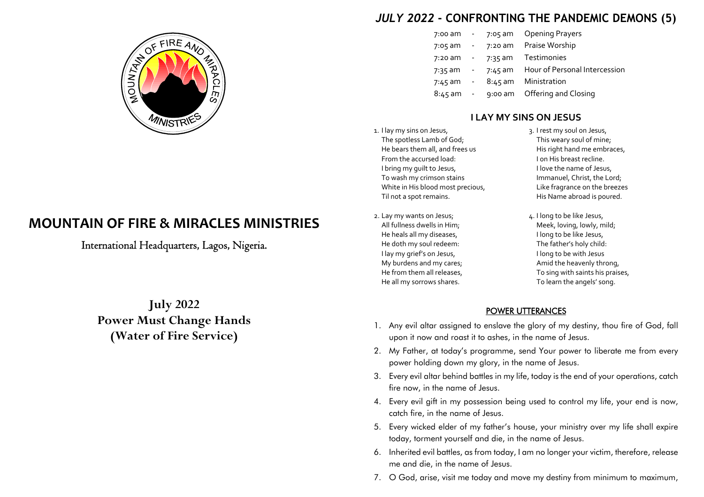

# **MOUNTAIN OF FIRE & MIRACLES MINISTRIES**

International Headquarters, Lagos, Nigeria.

**July 2022 Power Must Change Hands(Water of Fire Service)**

## *JULY 2022* **- CONFRONTING THE PANDEMIC DEMONS (5)**

| 7:00 am   |                          | 7:05 am   | <b>Opening Prayers</b>        |
|-----------|--------------------------|-----------|-------------------------------|
| $7:05$ am | $\overline{\phantom{a}}$ | 7:20 am   | Praise Worship                |
| $7:20$ am | $\sim$                   | $7:35$ am | <b>Testimonies</b>            |
| 7:35 am   |                          | 7:45 am   | Hour of Personal Intercession |
| $7:45$ am | $\sim$                   | $8:45$ am | Ministration                  |
| $8:45$ am | $\sim 10$                | $9:00$ am | Offering and Closing          |

### **I LAY MY SINS ON JESUS**

- 1. I lay my sins on Jesus, The spotless Lamb of God;He bears them all, and frees usFrom the accursed load:I bring my guilt to Jesus,To wash my crimson stains White in His blood most precious,Til not a spot remains.
- 2. Lay my wants on Jesus; All fullness dwells in Him;He heals all my diseases,He doth my soul redeem:I lay my grief's on Jesus,My burdens and my cares;He from them all releases,He all my sorrows shares.

 3. I rest my soul on Jesus, This weary soul of mine;His right hand me embraces,I on His breast recline.I love the name of Jesus,Immanuel, Christ, the Lord;Like fragrance on the breezesHis Name abroad is poured.

4. I long to be like Jesus, Meek, loving, lowly, mild;I long to be like Jesus,The father's holy child:I long to be with Jesus Amid the heavenly throng,To sing with saints his praises,To learn the angels' song.

#### POWER UTTERANCES

- 1. Any evil altar assigned to enslave the glory of my destiny, thou fire of God, fall upon it now and roast it to ashes, in the name of Jesus.
- 2. My Father, at today's programme, send Your power to liberate me from every power holding down my glory, in the name of Jesus.
- 3. Every evil altar behind battles in my life, today is the end of your operations, catch fire now, in the name of Jesus.
- 4. Every evil gift in my possession being used to control my life, your end is now, catch fire, in the name of Jesus.
- 5. Every wicked elder of my father's house, your ministry over my life shall expire today, torment yourself and die, in the name of Jesus.
- 6. Inherited evil battles, as from today, I am no longer your victim, therefore, release me and die, in the name of Jesus.
- 7. O God, arise, visit me today and move my destiny from minimum to maximum,